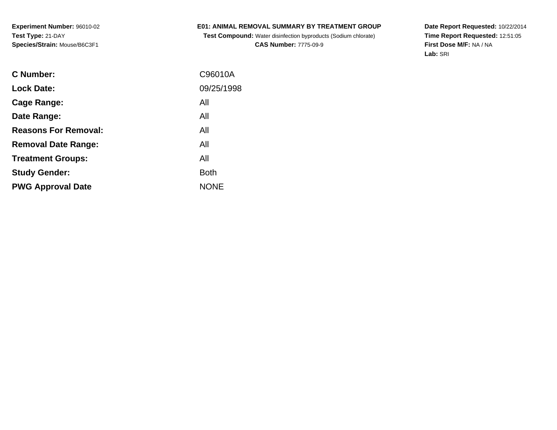**Experiment Number:** 96010-02**Test Type:** 21-DAY**Species/Strain:** Mouse/B6C3F1

### **E01: ANIMAL REMOVAL SUMMARY BY TREATMENT GROUP**

 **Test Compound:** Water disinfection byproducts (Sodium chlorate)**CAS Number:** 7775-09-9

**Date Report Requested:** 10/22/2014 **Time Report Requested:** 12:51:05**First Dose M/F:** NA / NA**Lab:** SRI

| C Number:                   | C96010A     |
|-----------------------------|-------------|
| <b>Lock Date:</b>           | 09/25/1998  |
| Cage Range:                 | All         |
| Date Range:                 | All         |
| <b>Reasons For Removal:</b> | All         |
| <b>Removal Date Range:</b>  | All         |
| <b>Treatment Groups:</b>    | All         |
| <b>Study Gender:</b>        | <b>Both</b> |
| <b>PWG Approval Date</b>    | <b>NONE</b> |
|                             |             |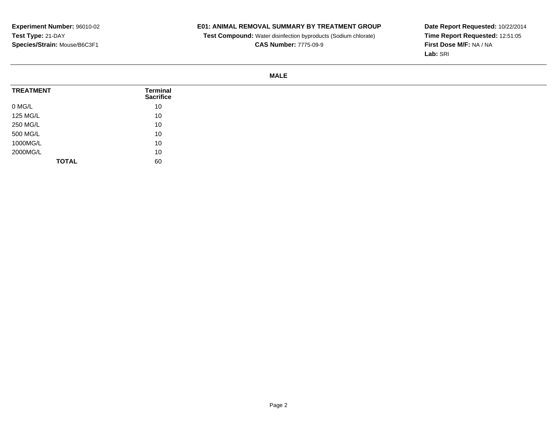# **E01: ANIMAL REMOVAL SUMMARY BY TREATMENT GROUP**

**Test Compound:** Water disinfection byproducts (Sodium chlorate)

**CAS Number:** 7775-09-9

**Date Report Requested:** 10/22/2014 **Time Report Requested:** 12:51:05**First Dose M/F:** NA / NA**Lab:** SRI

### **MALE**

| <b>TREATMENT</b> | Terminal<br><b>Sacrifice</b> |
|------------------|------------------------------|
| 0 MG/L           | 10                           |
| 125 MG/L         | 10                           |
| 250 MG/L         | 10                           |
| 500 MG/L         | 10                           |
| 1000MG/L         | 10                           |
| 2000MG/L         | 10                           |
| <b>TOTAL</b>     | 60                           |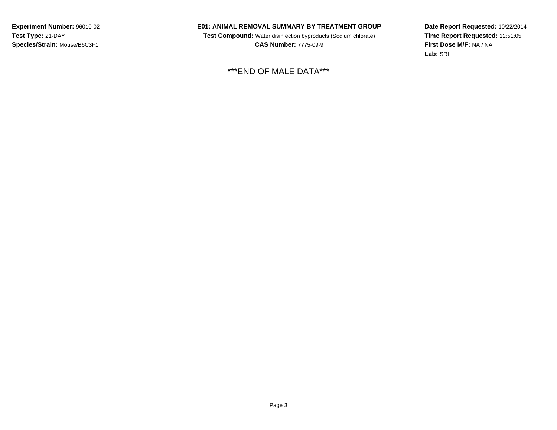**Experiment Number:** 96010-02**Test Type:** 21-DAY**Species/Strain:** Mouse/B6C3F1

#### **E01: ANIMAL REMOVAL SUMMARY BY TREATMENT GROUP**

 **Test Compound:** Water disinfection byproducts (Sodium chlorate) **CAS Number:** 7775-09-9

\*\*\*END OF MALE DATA\*\*\*

**Date Report Requested:** 10/22/2014**Time Report Requested:** 12:51:05**First Dose M/F:** NA / NA**Lab:** SRI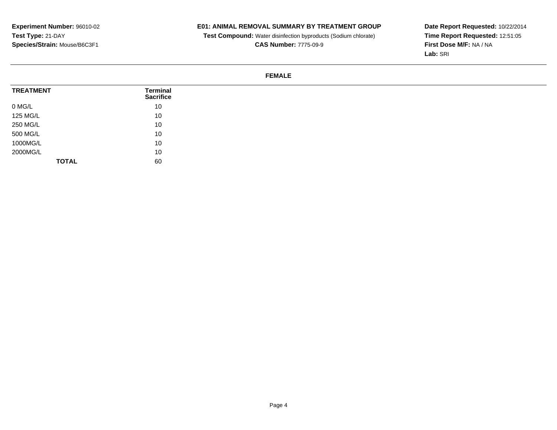# **E01: ANIMAL REMOVAL SUMMARY BY TREATMENT GROUP**

**Test Compound:** Water disinfection byproducts (Sodium chlorate)

**CAS Number:** 7775-09-9

**Date Report Requested:** 10/22/2014 **Time Report Requested:** 12:51:05**First Dose M/F:** NA / NA**Lab:** SRI

### **FEMALE**

| <b>TREATMENT</b> | Terminal<br><b>Sacrifice</b> |
|------------------|------------------------------|
| 0 MG/L           | 10                           |
| 125 MG/L         | 10                           |
| 250 MG/L         | 10                           |
| 500 MG/L         | 10                           |
| 1000MG/L         | 10                           |
| 2000MG/L         | 10                           |
| <b>TOTAL</b>     | 60                           |